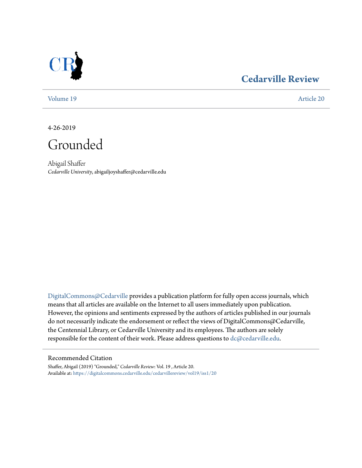

## **[Cedarville Review](https://digitalcommons.cedarville.edu/cedarvillereview?utm_source=digitalcommons.cedarville.edu%2Fcedarvillereview%2Fvol19%2Fiss1%2F20&utm_medium=PDF&utm_campaign=PDFCoverPages)**

[Volume 19](https://digitalcommons.cedarville.edu/cedarvillereview/vol19?utm_source=digitalcommons.cedarville.edu%2Fcedarvillereview%2Fvol19%2Fiss1%2F20&utm_medium=PDF&utm_campaign=PDFCoverPages) [Article 20](https://digitalcommons.cedarville.edu/cedarvillereview/vol19/iss1/20?utm_source=digitalcommons.cedarville.edu%2Fcedarvillereview%2Fvol19%2Fiss1%2F20&utm_medium=PDF&utm_campaign=PDFCoverPages)

4-26-2019

Grounded

Abigail Shaffer *Cedarville University*, abigailjoyshaffer@cedarville.edu

[DigitalCommons@Cedarville](http://digitalcommons.cedarville.edu/) provides a publication platform for fully open access journals, which means that all articles are available on the Internet to all users immediately upon publication. However, the opinions and sentiments expressed by the authors of articles published in our journals do not necessarily indicate the endorsement or reflect the views of DigitalCommons@Cedarville, the Centennial Library, or Cedarville University and its employees. The authors are solely responsible for the content of their work. Please address questions to [dc@cedarville.edu](mailto:dc@cedarville.edu).

#### Recommended Citation

Shaffer, Abigail (2019) "Grounded," *Cedarville Review*: Vol. 19 , Article 20. Available at: [https://digitalcommons.cedarville.edu/cedarvillereview/vol19/iss1/20](https://digitalcommons.cedarville.edu/cedarvillereview/vol19/iss1/20?utm_source=digitalcommons.cedarville.edu%2Fcedarvillereview%2Fvol19%2Fiss1%2F20&utm_medium=PDF&utm_campaign=PDFCoverPages)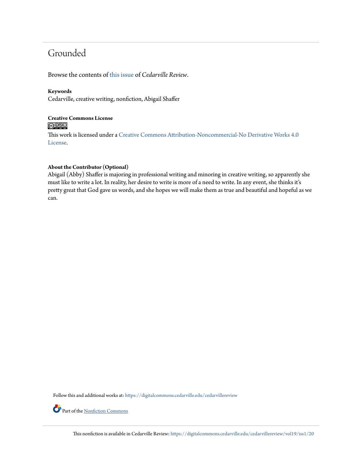# Grounded

Browse the contents of [this issue](https://digitalcommons.cedarville.edu/cedarvillereview/vol19/iss1) of *Cedarville Review*.

## **Keywords**

Cedarville, creative writing, nonfiction, Abigail Shaffer

## **Creative Commons License**  $\bigcirc$   $\circ$

This work is licensed under a [Creative Commons Attribution-Noncommercial-No Derivative Works 4.0](http://creativecommons.org/licenses/by-nc-nd/4.0/) [License.](http://creativecommons.org/licenses/by-nc-nd/4.0/)

#### **About the Contributor (Optional)**

Abigail (Abby) Shaffer is majoring in professional writing and minoring in creative writing, so apparently she must like to write a lot. In reality, her desire to write is more of a need to write. In any event, she thinks it's pretty great that God gave us words, and she hopes we will make them as true and beautiful and hopeful as we can.

Follow this and additional works at: [https://digitalcommons.cedarville.edu/cedarvillereview](https://digitalcommons.cedarville.edu/cedarvillereview?utm_source=digitalcommons.cedarville.edu%2Fcedarvillereview%2Fvol19%2Fiss1%2F20&utm_medium=PDF&utm_campaign=PDFCoverPages)

Part of the [Nonfiction Commons](http://network.bepress.com/hgg/discipline/1152?utm_source=digitalcommons.cedarville.edu%2Fcedarvillereview%2Fvol19%2Fiss1%2F20&utm_medium=PDF&utm_campaign=PDFCoverPages)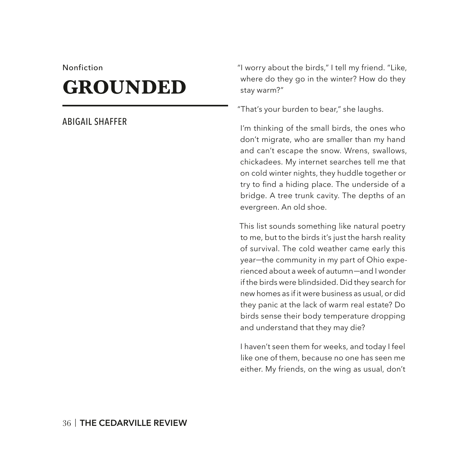#### Nonfiction

# **GROUNDED**

## ABIGAIL SHAFFER

"I worry about the birds," I tell my friend. "Like, where do they go in the winter? How do they stay warm?"

"That's your burden to bear," she laughs.

I'm thinking of the small birds, the ones who don't migrate, who are smaller than my hand and can't escape the snow. Wrens, swallows, chickadees. My internet searches tell me that on cold winter nights, they huddle together or try to find a hiding place. The underside of a bridge. A tree trunk cavity. The depths of an evergreen. An old shoe.

This list sounds something like natural poetry to me, but to the birds it's just the harsh reality of survival. The cold weather came early this year*—*the community in my part of Ohio experienced about a week of autumn*—*and I wonder if the birds were blindsided. Did they search for new homes as if it were business as usual, or did they panic at the lack of warm real estate? Do birds sense their body temperature dropping and understand that they may die?

I haven't seen them for weeks, and today I feel like one of them, because no one has seen me either. My friends, on the wing as usual, don't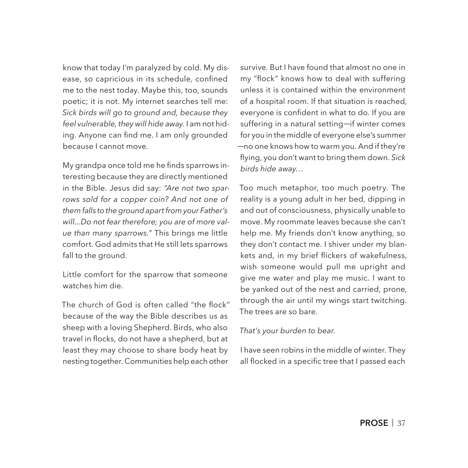know that today I'm paralyzed by cold. My disease, so capricious in its schedule, confined me to the nest today. Maybe this, too, sounds poetic; it is not. My internet searches tell me: *Sick birds will go to ground and, because they feel vulnerable, they will hide away.* I am not hiding. Anyone can find me. I am only grounded because I cannot move.

My grandpa once told me he finds sparrows interesting because they are directly mentioned in the Bible. Jesus did say: *"Are not two sparrows sold for a copper coin? And not one of them falls to the ground apart from your Father's will...Do not fear therefore; you are of more value than many sparrows."* This brings me little comfort. God admits that He still lets sparrows fall to the ground.

Little comfort for the sparrow that someone watches him die.

The church of God is often called "the flock" because of the way the Bible describes us as sheep with a loving Shepherd. Birds, who also travel in focks, do not have a shepherd, but at least they may choose to share body heat by nesting together. Communities help each other

survive. But I have found that almost no one in my "flock" knows how to deal with suffering unless it is contained within the environment of a hospital room. If that situation is reached, everyone is confident in what to do. If you are suffering in a natural setting*—*if winter comes for you in the middle of everyone else's summer *—*no one knows how to warm you. And if they're fying, you don't want to bring them down. *Sick birds hide away.*

Too much metaphor, too much poetry. The reality is a young adult in her bed, dipping in and out of consciousness, physically unable to move. My roommate leaves because she can't help me. My friends don't know anything, so they don't contact me. I shiver under my blankets and, in my brief fickers of wakefulness, wish someone would pull me upright and give me water and play me music. I want to be yanked out of the nest and carried, prone, through the air until my wings start twitching. The trees are so bare.

#### *That's your burden to bear.*

I have seen robins in the middle of winter. They all flocked in a specific tree that I passed each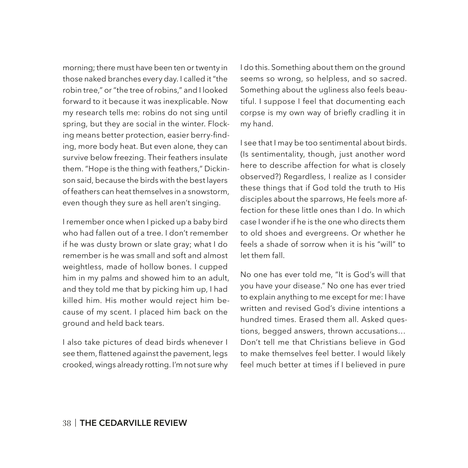morning; there must have been ten or twenty in those naked branches every day. I called it "the robin tree," or "the tree of robins," and I looked forward to it because it was inexplicable. Now my research tells me: robins do not sing until spring, but they are social in the winter. Flocking means better protection, easier berry-fnding, more body heat. But even alone, they can survive below freezing. Their feathers insulate them. "Hope is the thing with feathers," Dickinson said, because the birds with the best layers of feathers can heat themselves in a snowstorm, even though they sure as hell aren't singing.

I remember once when I picked up a baby bird who had fallen out of a tree. I don't remember if he was dusty brown or slate gray; what I do remember is he was small and soft and almost weightless, made of hollow bones. I cupped him in my palms and showed him to an adult, and they told me that by picking him up, I had killed him. His mother would reject him because of my scent. I placed him back on the ground and held back tears.

I also take pictures of dead birds whenever I see them, flattened against the pavement, legs crooked, wings already rotting. I'm not sure why I do this. Something about them on the ground seems so wrong, so helpless, and so sacred. Something about the ugliness also feels beautiful. I suppose I feel that documenting each corpse is my own way of briefy cradling it in my hand.

I see that I may be too sentimental about birds. (Is sentimentality, though, just another word here to describe affection for what is closely observed?) Regardless, I realize as I consider these things that if God told the truth to His disciples about the sparrows, He feels more affection for these little ones than I do. In which case I wonder if he is the one who directs them to old shoes and evergreens. Or whether he feels a shade of sorrow when it is his "will" to let them fall.

No one has ever told me, "It is God's will that you have your disease." No one has ever tried to explain anything to me except for me: I have written and revised God's divine intentions a hundred times. Erased them all. Asked questions, begged answers, thrown accusations... Don't tell me that Christians believe in God to make themselves feel better. I would likely feel much better at times if I believed in pure